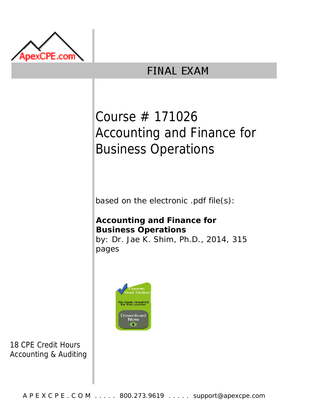

# **FINAL EXAM**

# Course # 171026 Accounting and Finance for Business Operations

based on the electronic .pdf file(s):

# **Accounting and Finance for Business Operations**

by: Dr. Jae K. Shim, Ph.D., 2014, 315 pages



18 CPE Credit Hours Accounting & Auditing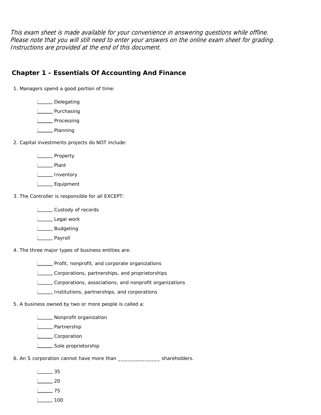This exam sheet is made available for your convenience in answering questions while offline. Please note that you will still need to enter your answers on the online exam sheet for grading. Instructions are provided at the end of this document.

#### **Chapter 1 - Essentials Of Accounting And Finance**

1. Managers spend a good portion of time:

**L\_\_\_\_** Delegating

L\_\_\_\_\_\_ Purchasing

L<sub>DD</sub> Processing

L<sub>D</sub>Planning

2. Capital investments projects do NOT include:

L<sub>pperty</sub>

L<sub>D</sub>Plant

L**L** Inventory

L\_\_\_\_\_\_\_ Equipment

3. The Controller is responsible for all EXCEPT:

**LETT** Custody of records

Legal work

L<sub>Budgeting</sub>

Lase Payroll

4. The three major types of business entities are:

**LETT** Profit, nonprofit, and corporate organizations

Corporations, partnerships, and proprietorships

Corporations, associations, and nonprofit organizations

Institutions, partnerships, and corporations

5. A business owned by two or more people is called a:

**Nonprofit organization** 

**L** Partnership

L**Corporation** 

Sole proprietorship

6. An S corporation cannot have more than \_\_\_\_\_\_\_\_\_\_\_\_\_\_ shareholders.

35

20

 $\frac{1}{2}$  75

 $\Box$  100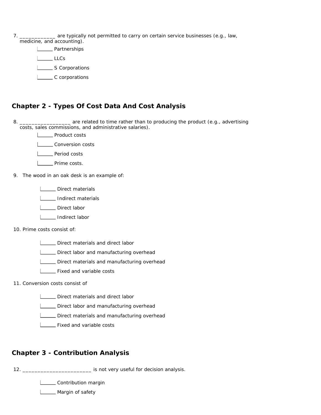| . ______________ are typically not permitted to carry on certain service businesses (e.g., law, |  |  |  |
|-------------------------------------------------------------------------------------------------|--|--|--|
|                                                                                                 |  |  |  |

| medicine, and accounting). | $\frac{1}{2}$ . $\frac{1}{2}$ . $\frac{1}{2}$ . $\frac{1}{2}$ . $\frac{1}{2}$ . $\frac{1}{2}$ |
|----------------------------|-----------------------------------------------------------------------------------------------|
|                            | <u>L</u> Partnerships                                                                         |
| l LLCs                     |                                                                                               |
|                            | _____ S Corporations                                                                          |
|                            | C corporations                                                                                |

## **Chapter 2 - Types Of Cost Data And Cost Analysis**

8. **\_\_\_\_** are related to time rather than to producing the product (e.g., advertising costs, sales commissions, and administrative salaries).

**LECTE** Product costs

**Louis** Conversion costs

**Letter** Period costs

- **LECT** Prime costs.
- 9. The wood in an oak desk is an example of:
	- **LECTE** Direct materials

**I** \_\_\_\_\_ Indirect materials

**L** Direct labor

Indirect labor

10. Prime costs consist of:

Direct materials and direct labor

Direct labor and manufacturing overhead

**LETT** Direct materials and manufacturing overhead

**L\_\_\_ Fixed and variable costs** 

11. Conversion costs consist of

**LETTE** Direct materials and direct labor

**LETTE** Direct labor and manufacturing overhead

**LETTE** Direct materials and manufacturing overhead

**LETTE** Fixed and variable costs

#### **Chapter 3 - Contribution Analysis**

12. \_\_\_\_\_\_\_\_\_\_\_\_\_\_\_\_\_\_\_\_\_\_\_ is not very useful for decision analysis.

**LECONDITION CONTRIGHT** 

**Margin of safety**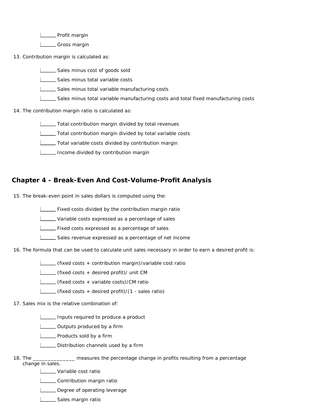L\_\_\_\_\_ Profit margin

L<sub>C</sub>Gross margin

13. Contribution margin is calculated as:

Sales minus cost of goods sold

Sales minus total variable costs

Sales minus total variable manufacturing costs

Sales minus total variable manufacturing costs and total fixed manufacturing costs

14. The contribution margin ratio is calculated as:

Total contribution margin divided by total revenues

**Total contribution margin divided by total variable costs** 

Total variable costs divided by contribution margin

**ILLETT** Income divided by contribution margin

#### **Chapter 4 - Break-Even And Cost-Volume-Profit Analysis**

15. The break-even point in sales dollars is computed using the:

**Fixed costs divided by the contribution margin ratio** 

**LECT** Variable costs expressed as a percentage of sales

**Fixed costs expressed as a percentage of sales** 

Sales revenue expressed as a percentage of net income

16. The formula that can be used to calculate unit sales necessary in order to earn a desired profit is:

(fixed costs + contribution margin)/variable cost ratio

(fixed costs + desired profit)/ unit CM

(fixed costs + variable costs)/CM ratio

(fixed costs + desired profit)/(1 - sales ratio)

17. Sales mix is the relative combination of:

Inputs required to produce a product

**L** Outputs produced by a firm

**Lacks** Products sold by a firm

Distribution channels used by a firm

18. The \_\_ measures the percentage change in profits resulting from a percentage change in sales.

**Letter** Variable cost ratio

**Louis** Contribution margin ratio

Degree of operating leverage

Sales margin ratio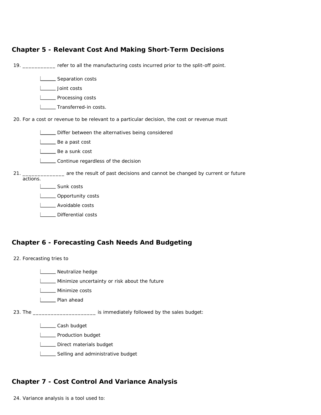| <b>Chapter 5 - Relevant Cost And Making Short-Term Decisions</b>                                            |  |
|-------------------------------------------------------------------------------------------------------------|--|
| 19. __________ refer to all the manufacturing costs incurred prior to the split-off point.                  |  |
| Separation costs                                                                                            |  |
| Joint costs                                                                                                 |  |
| _ Processing costs                                                                                          |  |
| Transferred-in costs.                                                                                       |  |
| 20. For a cost or revenue to be relevant to a particular decision, the cost or revenue must                 |  |
| Differ between the alternatives being considered                                                            |  |
| __ Be a past cost                                                                                           |  |
| Be a sunk cost                                                                                              |  |
| ____ Continue regardless of the decision                                                                    |  |
| 21. _______________ are the result of past decisions and cannot be changed by current or future<br>actions. |  |
| Sunk costs                                                                                                  |  |
| _Opportunity costs                                                                                          |  |
| Avoidable costs                                                                                             |  |
| Differential costs                                                                                          |  |
|                                                                                                             |  |
|                                                                                                             |  |

#### **Chapter 6 - Forecasting Cash Needs And Budgeting**



## **Chapter 7 - Cost Control And Variance Analysis**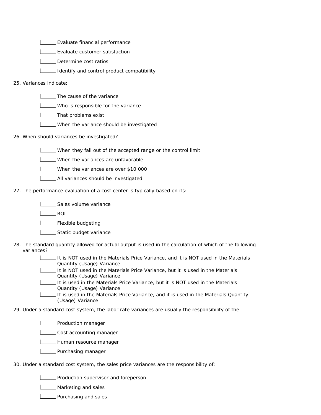**LEGE** Evaluate financial performance

**LEGE** Evaluate customer satisfaction

**LETT** Determine cost ratios

**ILLETT** Identify and control product compatibility

#### 25. Variances indicate:

| The cause of the variance

Who is responsible for the variance

L\_\_\_\_\_That problems exist

When the variance should be investigated

26. When should variances be investigated?

When they fall out of the accepted range or the control limit

**LECT** When the variances are unfavorable

When the variances are over \$10,000

**LETTE** All variances should be investigated

27. The performance evaluation of a cost center is typically based on its:

**LECCC** Sales volume variance

L<sub>ROI</sub>

**LETTE** Flexible budgeting

**LETTE** Static budget variance

28. The standard quantity allowed for actual output is used in the calculation of which of the following variances?

> It is NOT used in the Materials Price Variance, and it is NOT used in the Materials Quantity (Usage) Variance

It is NOT used in the Materials Price Variance, but it is used in the Materials Quantity (Usage) Variance

It is used in the Materials Price Variance, but it is NOT used in the Materials Quantity (Usage) Variance

It is used in the Materials Price Variance, and it is used in the Materials Quantity (Usage) Variance

29. Under a standard cost system, the labor rate variances are usually the responsibility of the:

**LETT** Production manager

**LECOST** Cost accounting manager

**L\_\_\_\_** Human resource manager

**LETTE** Purchasing manager

30. Under a standard cost system, the sales price variances are the responsibility of:

**LETT** Production supervisor and foreperson

**L\_\_\_\_** Marketing and sales

**L\_\_\_\_** Purchasing and sales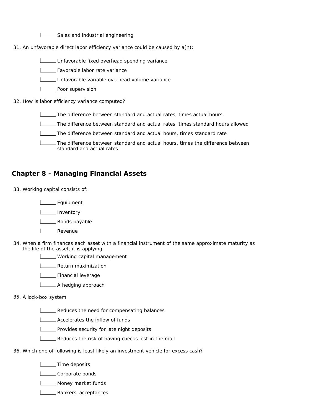Sales and industrial engineering

31. An unfavorable direct labor efficiency variance could be caused by a(n):

Unfavorable fixed overhead spending variance

Favorable labor rate variance

- Unfavorable variable overhead volume variance
- **Lackson** Poor supervision

32. How is labor efficiency variance computed?

- The difference between standard and actual rates, times actual hours
- The difference between standard and actual rates, times standard hours allowed
- The difference between standard and actual hours, times standard rate
- The difference between standard and actual hours, times the difference between standard and actual rates

#### **Chapter 8 - Managing Financial Assets**

33. Working capital consists of:

L<sub>Equipment</sub> **I**nventory

L\_\_\_\_\_ Bonds payable

- L<sub>\_\_\_\_</sub>Revenue
- 34. When a firm finances each asset with a financial instrument of the same approximate maturity as the life of the asset, it is applying:
	- **LETT** Working capital management

Return maximization

L\_\_\_\_ Financial leverage

**L** A hedging approach

#### 35. A lock-box system

**LECT** Reduces the need for compensating balances

**LECT** Accelerates the inflow of funds

- **LETT** Provides security for late night deposits
- **LETT** Reduces the risk of having checks lost in the mail
- 36. Which one of following is least likely an investment vehicle for excess cash?

**LECT** Time deposits

L**L** Corporate bonds

**L** Money market funds

**L** Bankers' acceptances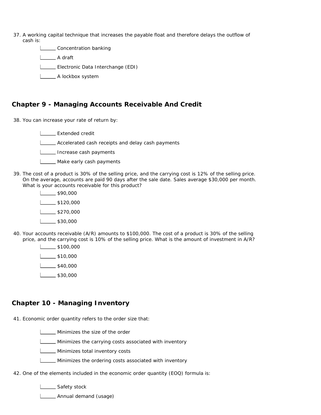- 37. A working capital technique that increases the payable float and therefore delays the outflow of cash is:
	- **LECONCOCOLLET CONCOCOLLET**

L\_\_\_\_\_\_\_\_ A draft

Electronic Data Interchange (EDI)

**L** A lockbox system

#### **Chapter 9 - Managing Accounts Receivable And Credit**

38. You can increase your rate of return by:

Extended credit

**L\_\_\_ Accelerated cash receipts and delay cash payments** 

**ILLETT** Increase cash payments

- **LARGO Make early cash payments**
- 39. The cost of a product is 30% of the selling price, and the carrying cost is 12% of the selling price. On the average, accounts are paid 90 days after the sale date. Sales average \$30,000 per month. What is your accounts receivable for this product?
	- $\frac{1}{1}$ \$90,000 \$120,000  $\frac{1}{2}$ \$270,000  $1$  \$30,000
- 40. Your accounts receivable (A/R) amounts to \$100,000. The cost of a product is 30% of the selling price, and the carrying cost is 10% of the selling price. What is the amount of investment in A/R?
	- $\sqrt{\frac{1}{100}}$ \$100,000  $\frac{1}{1}$ \$10,000  $\frac{1}{1}$ \$40,000
	- $1$   $30,000$

#### **Chapter 10 - Managing Inventory**

41. Economic order quantity refers to the order size that:

| Minimizes the size of the order

**LETT** Minimizes the carrying costs associated with inventory

**LETTE** Minimizes total inventory costs

**LETTER** Minimizes the ordering costs associated with inventory

42. One of the elements included in the economic order quantity (EOQ) formula is:

Safety stock

**L\_\_\_\_** Annual demand (usage)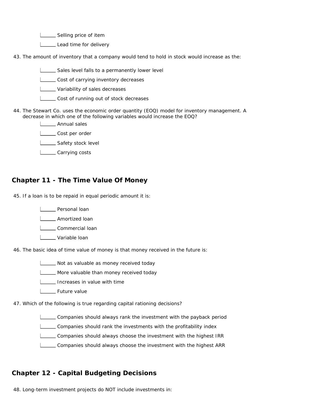Selling price of item

Lead time for delivery

43. The amount of inventory that a company would tend to hold in stock would increase as the:

Sales level falls to a permanently lower level

**LECOST** Cost of carrying inventory decreases

**LETT** Variability of sales decreases

**LECOST OF running out of stock decreases** 

44. The Stewart Co. uses the economic order quantity (EOQ) model for inventory management. A decrease in which one of the following variables would increase the EOQ?

**L\_\_\_\_** Annual sales

Lost per order

**Safety stock level** 

Loosts Carrying costs

#### **Chapter 11 - The Time Value Of Money**

45. If a loan is to be repaid in equal periodic amount it is:

**Letter** Personal loan

**L\_\_\_\_\_** Amortized loan

Lommercial loan

Variable loan

46. The basic idea of time value of money is that money received in the future is:

Not as valuable as money received today

More valuable than money received today

**Increases in value with time** 

**L** Future value

47. Which of the following is true regarding capital rationing decisions?

Companies should always rank the investment with the payback period

Companies should rank the investments with the profitability index

Companies should always choose the investment with the highest IRR

Companies should always choose the investment with the highest ARR

#### **Chapter 12 - Capital Budgeting Decisions**

48. Long-term investment projects do NOT include investments in: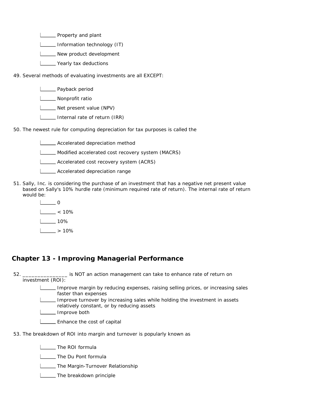**LETT** Property and plant

**Information technology (IT)** 

**L\_\_\_\_ New product development** 

- **L\_\_\_\_** Yearly tax deductions
- 49. Several methods of evaluating investments are all EXCEPT:

**L** Payback period

**L\_\_\_\_** Nonprofit ratio

Net present value (NPV)

- **Internal rate of return (IRR)**
- 50. The newest rule for computing depreciation for tax purposes is called the
	- **LECT** Accelerated depreciation method
	- Modified accelerated cost recovery system (MACRS)
	- Accelerated cost recovery system (ACRS)
	- **LECCE** Accelerated depreciation range
- 51. Sally, Inc. is considering the purchase of an investment that has a negative net present value based on Sally's 10% hurdle rate (minimum required rate of return). The internal rate of return would be:
	- $\Box$  $\frac{1}{6}$  < 10%  $1 - 10%$
	- $|$  > 10%

#### **Chapter 13 - Improving Managerial Performance**

52. \_ is NOT an action management can take to enhance rate of return on investment (ROI): Improve margin by reducing expenses, raising selling prices, or increasing sales faster than expenses Improve turnover by increasing sales while holding the investment in assets relatively constant, or by reducing assets **L\_\_\_\_** Improve both **Enhance the cost of capital** 53. The breakdown of ROI into margin and turnover is popularly known as

The ROI formula

**LETTIANGLE DU Pont formula** 

**The Margin-Turnover Relationship** 

**The breakdown principle**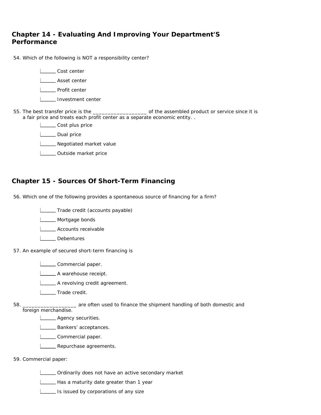#### **Chapter 14 - Evaluating And Improving Your Department'S Performance**

| 54. Which of the following is NOT a responsibility center?               |
|--------------------------------------------------------------------------|
| Cost center                                                              |
| Asset center                                                             |
| Profit center                                                            |
| Investment center                                                        |
| a fair price and treats each profit center as a separate economic entity |
| Cost plus price                                                          |
| Dual price                                                               |
| Negotiated market value                                                  |
| Outside market price                                                     |
|                                                                          |

#### **Chapter 15 - Sources Of Short-Term Financing**

56. Which one of the following provides a spontaneous source of financing for a firm?

Trade credit (accounts payable)

**L** Mortgage bonds

**LECOUNTED** Accounts receivable

- L**L** Debentures
- 57. An example of secured short-term financing is

**LECOMMERGIAL PAPER** 

**L**A warehouse receipt.

- **LETTE** A revolving credit agreement.
- **LECT** Trade credit.

58. \_\_\_\_\_\_\_\_\_\_\_\_\_\_\_\_\_\_ are often used to finance the shipment handling of both domestic and

foreign merchandise.

**LETTE** Agency securities.

**LETTE** Bankers' acceptances.

Lommercial paper.

**LETTE** Repurchase agreements.

#### 59. Commercial paper:

Ordinarily does not have an active secondary market

Has a maturity date greater than 1 year

**IS issued by corporations of any size**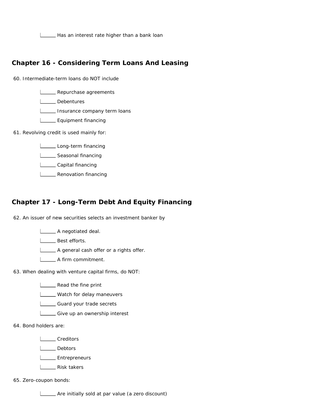Has an interest rate higher than a bank loan

#### **Chapter 16 - Considering Term Loans And Leasing**

60. Intermediate-term loans do NOT include

**LETTE** Repurchase agreements

L**L** Debentures

Insurance company term loans

**L**\_\_\_\_\_\_ Equipment financing

61. Revolving credit is used mainly for:

Long-term financing

**Letter** Seasonal financing

Loopital financing

**LETT** Renovation financing

#### **Chapter 17 - Long-Term Debt And Equity Financing**

62. An issuer of new securities selects an investment banker by

**L** A negotiated deal.

L**L** Best efforts.

A general cash offer or a rights offer.

A firm commitment.

63. When dealing with venture capital firms, do NOT:

**LETT** Read the fine print

**LETT** Watch for delay maneuvers

Guard your trade secrets

Give up an ownership interest

64. Bond holders are:

L**Creditors** 

Lebtors

**L**<br>Entrepreneurs

L<sub>Risk takers</sub>

65. Zero-coupon bonds:

Are initially sold at par value (a zero discount)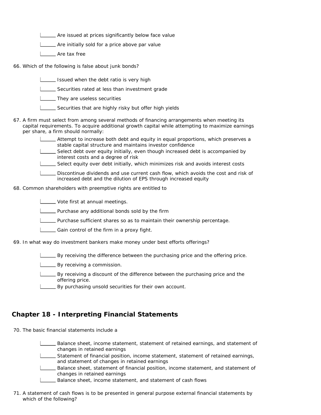**LETT** Are issued at prices significantly below face value

Are initially sold for a price above par value

L\_\_\_\_\_ Are tax free

- 66. Which of the following is false about junk bonds?
	- $\Box$  Issued when the debt ratio is very high
	- Securities rated at less than investment grade
	- **They are useless securities**
	- Securities that are highly risky but offer high yields
- 67. A firm must select from among several methods of financing arrangements when meeting its capital requirements. To acquire additional growth capital while attempting to maximize earnings per share, a firm should normally:
	- Attempt to increase both debt and equity in equal proportions, which preserves a stable capital structure and maintains investor confidence
	- Select debt over equity initially, even though increased debt is accompanied by interest costs and a degree of risk
	- Select equity over debt initially, which minimizes risk and avoids interest costs
	- Discontinue dividends and use current cash flow, which avoids the cost and risk of increased debt and the dilution of EPS through increased equity

68. Common shareholders with preemptive rights are entitled to

Vote first at annual meetings.

**LECT** Purchase any additional bonds sold by the firm

Purchase sufficient shares so as to maintain their ownership percentage.

**LETT** Gain control of the firm in a proxy fight.

69. In what way do investment bankers make money under best efforts offerings?

 $\Box$  By receiving the difference between the purchasing price and the offering price.

**LETT** By receiving a commission.

- By receiving a discount of the difference between the purchasing price and the offering price.
- By purchasing unsold securities for their own account.

#### **Chapter 18 - Interpreting Financial Statements**

70. The basic financial statements include a

Balance sheet, income statement, statement of retained earnings, and statement of changes in retained earnings

Statement of financial position, income statement, statement of retained earnings, and statement of changes in retained earnings

Balance sheet, statement of financial position, income statement, and statement of changes in retained earnings

- Balance sheet, income statement, and statement of cash flows
- 71. A statement of cash flows is to be presented in general purpose external financial statements by which of the following?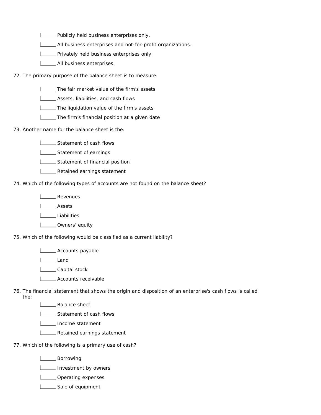**LETT** Publicly held business enterprises only.

All business enterprises and not-for-profit organizations.

**LETTER** Privately held business enterprises only.

**LETTE** All business enterprises.

72. The primary purpose of the balance sheet is to measure:

**The fair market value of the firm's assets** 

**LETT** Assets, liabilities, and cash flows

**LETTE** The liquidation value of the firm's assets

The firm's financial position at a given date

73. Another name for the balance sheet is the:

**LETT** Statement of cash flows

**LETTE** Statement of earnings

Statement of financial position

**LETT** Retained earnings statement

74. Which of the following types of accounts are not found on the balance sheet?

L**L** Revenues

L<sub>Assets</sub>

L**iabilities** 

L**L** Owners' equity

75. Which of the following would be classified as a current liability?

**L**\_\_\_\_\_ Accounts payable

Land

Louise Capital stock

**LECOUNTED** Accounts receivable

76. The financial statement that shows the origin and disposition of an enterprise's cash flows is called the:

**L\_\_\_\_\_** Balance sheet

Statement of cash flows

**Income statement** 

**LETTE** Retained earnings statement

77. Which of the following is a primary use of cash?

**L** Borrowing

Investment by owners

**L** Operating expenses

Sale of equipment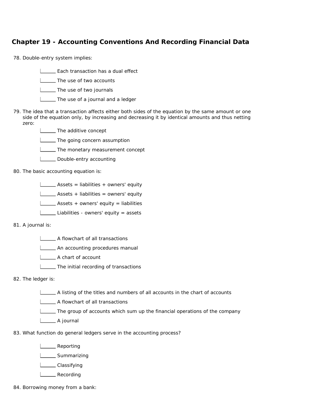### **Chapter 19 - Accounting Conventions And Recording Financial Data**

- 78. Double-entry system implies:
	- **Each transaction has a dual effect**
	- **LETTIME:** The use of two accounts
	- **The use of two journals**
	- **LETTIA** The use of a journal and a ledger
- 79. The idea that a transaction affects either both sides of the equation by the same amount or one side of the equation only, by increasing and decreasing it by identical amounts and thus netting zero:
	- **The additive concept**
	- **The going concern assumption**
	- **The monetary measurement concept**
	- **LETT** Double-entry accounting
- 80. The basic accounting equation is:
	- $\Box$  Assets = liabilities + owners' equity
	- **LETT** Assets + liabilities = owners' equity
	- Assets + owners' equity = liabilities
	- Liabilities owners' equity = assets
- 81. A journal is:
	- A flowchart of all transactions
	- **LECTE** An accounting procedures manual
	- A chart of account
	- **The initial recording of transactions**
- 82. The ledger is:
	- $\Box$  A listing of the titles and numbers of all accounts in the chart of accounts
	- **LETTE** A flowchart of all transactions
	- $\Box$  The group of accounts which sum up the financial operations of the company
	- L<sub>A</sub> journal
- 83. What function do general ledgers serve in the accounting process?
	- L\_\_\_\_\_ Reporting
	- **L\_\_\_\_\_** Summarizing
	- L\_\_\_\_\_\_ Classifying
	- L<sub>Recording</sub>
- 84. Borrowing money from a bank: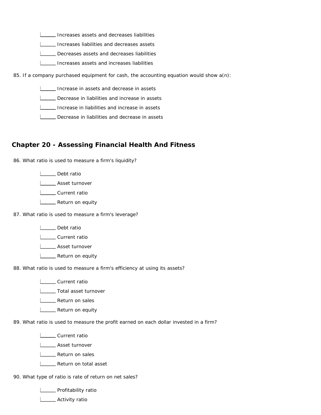Increases assets and decreases liabilities

**ILLETT** Increases liabilities and decreases assets

Decreases assets and decreases liabilities

Increases assets and increases liabilities

85. If a company purchased equipment for cash, the accounting equation would show a(n):

Increase in assets and decrease in assets

Decrease in liabilities and increase in assets

Increase in liabilities and increase in assets

Decrease in liabilities and decrease in assets

#### **Chapter 20 - Assessing Financial Health And Fitness**

86. What ratio is used to measure a firm's liquidity?

**L** Debt ratio

**Loopey** Asset turnover

L<sub>ough</sub> Current ratio

**L** Return on equity

87. What ratio is used to measure a firm's leverage?

Louis Debt ratio

L\_\_\_\_\_ Current ratio

L**L**Asset turnover

**LETT** Return on equity

88. What ratio is used to measure a firm's efficiency at using its assets?

L**LC** Current ratio

**Louise** Total asset turnover

**LETTE** Return on sales

**LETT** Return on equity

89. What ratio is used to measure the profit earned on each dollar invested in a firm?

L\_\_\_\_\_\_ Current ratio

**LETTE** Asset turnover

**LECT** Return on sales

**L\_\_\_ Return on total asset** 

90. What type of ratio is rate of return on net sales?

**LETT** Profitability ratio

**L** Activity ratio